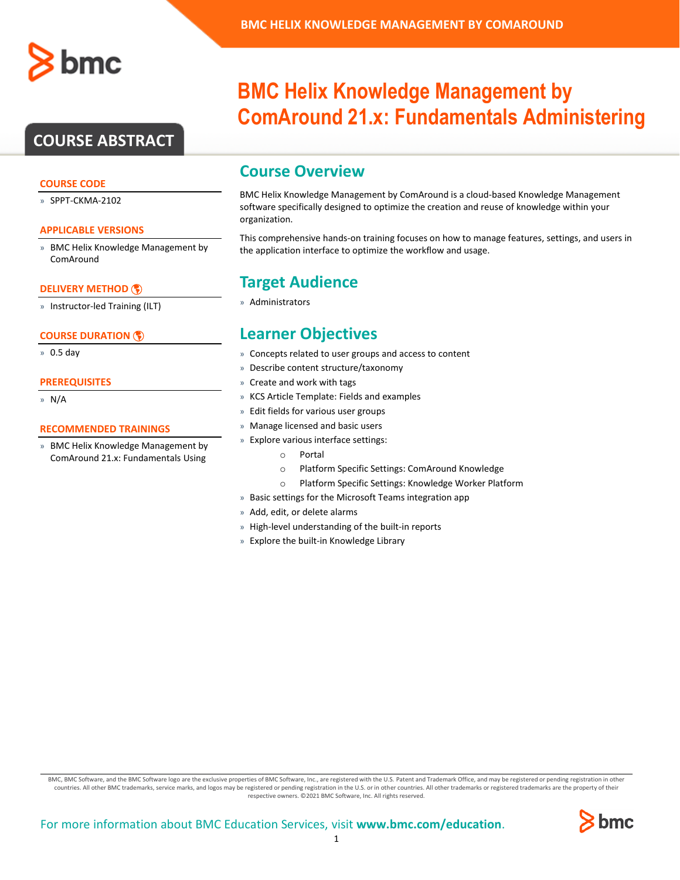

# **COURSE ABSTRACT**

#### **COURSE CODE**

» SPPT-CKMA-2102

#### **APPLICABLE VERSIONS**

» BMC Helix Knowledge Management by ComAround

#### **[DELIVERY METHOD](http://www.bmc.com/education/modality.html)**

» Instructor-led Training (ILT)

#### **[COURSE DURATION](http://www.bmc.com/education/learning-paths/education-filters-learning-paths.html)**

» 0.5 day

#### **PREREQUISITES**

» N/A

#### **RECOMMENDED TRAININGS**

» BMC Helix Knowledge Management by ComAround 21.x: Fundamentals Using

# **BMC Helix Knowledge Management by ComAround 21.x: Fundamentals Administering**

# **Course Overview**

BMC Helix Knowledge Management by ComAround is a cloud-based Knowledge Management software specifically designed to optimize the creation and reuse of knowledge within your organization.

This comprehensive hands-on training focuses on how to manage features, settings, and users in the application interface to optimize the workflow and usage.

# **Target Audience**

» Administrators

# **Learner Objectives**

- » Concepts related to user groups and access to content
- » Describe content structure/taxonomy
- » Create and work with tags
- » KCS Article Template: Fields and examples
- » Edit fields for various user groups
- » Manage licensed and basic users
- » Explore various interface settings:
	- o Portal
	- o Platform Specific Settings: ComAround Knowledge
	- o Platform Specific Settings: Knowledge Worker Platform
- » Basic settings for the Microsoft Teams integration app
- » Add, edit, or delete alarms
- » High-level understanding of the built-in reports
- » Explore the built-in Knowledge Library

BMC, BMC Software, and the BMC Software logo are the exclusive properties of BMC Software, Inc., are registered with the U.S. Patent and Trademark Office, and may be registered or pending registration in other countries. All other BMC trademarks, service marks, and logos may be registered or pending registration in the U.S. or in other countries. All other trademarks or registered trademarks are the property of their respective owners. ©2021 BMC Software, Inc. All rights reserved.

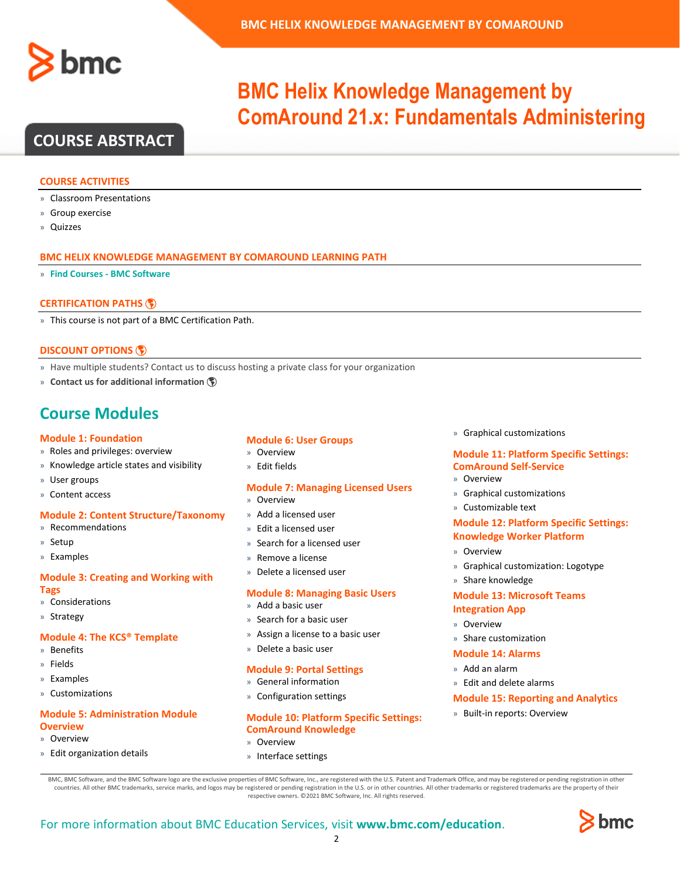

# **BMC Helix Knowledge Management by ComAround 21.x: Fundamentals Administering**

# **COURSE ABSTRACT**

#### **COURSE ACTIVITIES**

- » Classroom Presentations
- » Group exercise
- » Quizzes

#### **BMC HELIX KNOWLEDGE MANAGEMENT BY COMAROUND LEARNING PATH**

» **Find Courses - [BMC Software](https://www.bmc.com/education/courses/find-courses.html#filter/%7B%22type%22%3A%22edu-specific-types-220818351%22%2C%22products%22%3A%22education-products-138131084%22%7D)**

### **[CERTIFICATION PATHS](http://www.bmc.com/education/certification-programs)**

» This course is not part of a BMC Certification Path.

### **[DISCOUNT OPTIONS](http://www.bmc.com/education/customer-service/customer-service.html)**

- » Have multiple students? Contact us to discuss hosting a private class for your organization
- » **[Contact us for additional information](http://www.bmc.com/education)**

# **Course Modules**

#### **Module 1: Foundation**

- » Roles and privileges: overview
- » Knowledge article states and visibility
- » User groups
- » Content access

#### **Module 2: Content Structure/Taxonomy**

- » Recommendations
- » Setup
- » Examples

#### **Module 3: Creating and Working with Tags**

- » Considerations
- » Strategy

#### **Module 4: The KCS® Template**

- » Benefits
- » Fields
- » Examples
- » Customizations

## **Module 5: Administration Module Overview**

- » Overview
- » Edit organization details

## **Module 6: User Groups**

- » Overview
- » Edit fields

### **Module 7: Managing Licensed Users**

- » Overview
- » Add a licensed user
- » Edit a licensed user
- » Search for a licensed user
- Remove a license
- » Delete a licensed user

#### **Module 8: Managing Basic Users**

- » Add a basic user
- » Search for a basic user
- » Assign a license to a basic user
- » Delete a basic user

#### **Module 9: Portal Settings**

- » General information
- » Configuration settings

#### **Module 10: Platform Specific Settings: ComAround Knowledge**

- » Overview
- » Interface settings

### » Graphical customizations

### **Module 11: Platform Specific Settings: ComAround Self-Service**

- » Overview
- » Graphical customizations
- » Customizable text

### **Module 12: Platform Specific Settings: Knowledge Worker Platform**

- » Overview
- » Graphical customization: Logotype
- » Share knowledge

# **Module 13: Microsoft Teams**

- **Integration App**
- » Overview
- » Share customization

### **Module 14: Alarms**

- » Add an alarm
- » Edit and delete alarms

### **Module 15: Reporting and Analytics**

» Built-in reports: Overview

BMC, BMC Software, and the BMC Software logo are the exclusive properties of BMC Software, Inc., are registered with the U.S. Patent and Trademark Office, and may be registered or pending registration in other countries. All other BMC trademarks, service marks, and logos may be registered or pending registration in the U.S. or in other countries. All other trademarks or registered trademarks are the property of their respective owners. ©2021 BMC Software, Inc. All rights reserved.

2